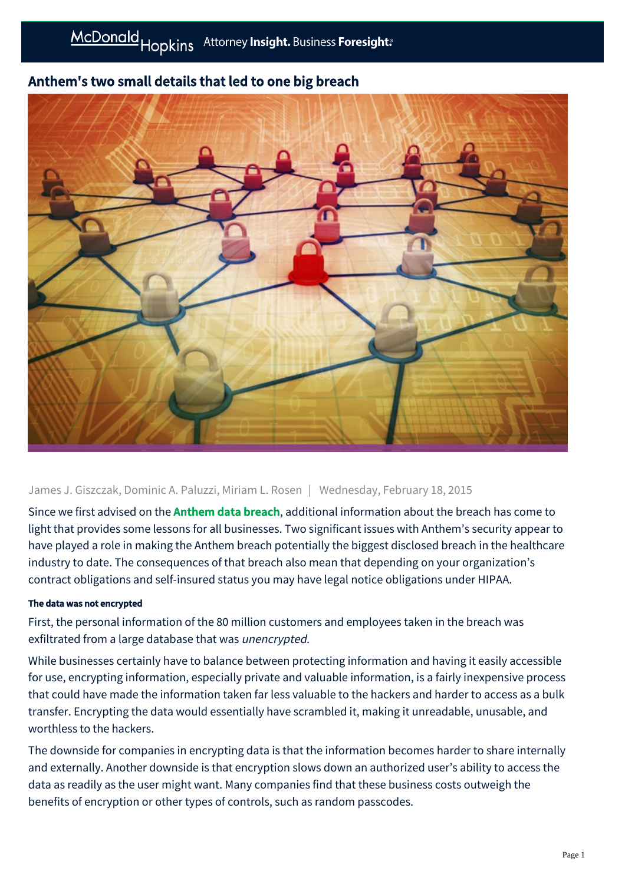# Anthem's two small details that led to one big breach



James J. Giszczak, Dominic A. Paluzzi, Miriam L. Rosen | Wednesday, February 18, 2015

Since we first advised on the **[Anthem data breach](http://www.mcdonaldhopkins.com/alerts/data-privacy-and-cybersecurity-cybersecurity-breach-rocks-anthem-02-05-2015)**, additional information about the breach has come to light that provides some lessons for all businesses. Two significant issues with Anthem's security appear to have played a role in making the Anthem breach potentially the biggest disclosed breach in the healthcare industry to date. The consequences of that breach also mean that depending on your organization's contract obligations and self-insured status you may have legal notice obligations under HIPAA.

### The data was not encrypted

First, the personal information of the 80 million customers and employees taken in the breach was exfiltrated from a large database that was unencrypted.

While businesses certainly have to balance between protecting information and having it easily accessible for use, encrypting information, especially private and valuable information, is a fairly inexpensive process that could have made the information taken far less valuable to the hackers and harder to access as a bulk transfer. Encrypting the data would essentially have scrambled it, making it unreadable, unusable, and worthless to the hackers.

The downside for companies in encrypting data is that the information becomes harder to share internally and externally. Another downside is that encryption slows down an authorized user's ability to access the data as readily as the user might want. Many companies find that these business costs outweigh the benefits of encryption or other types of controls, such as random passcodes.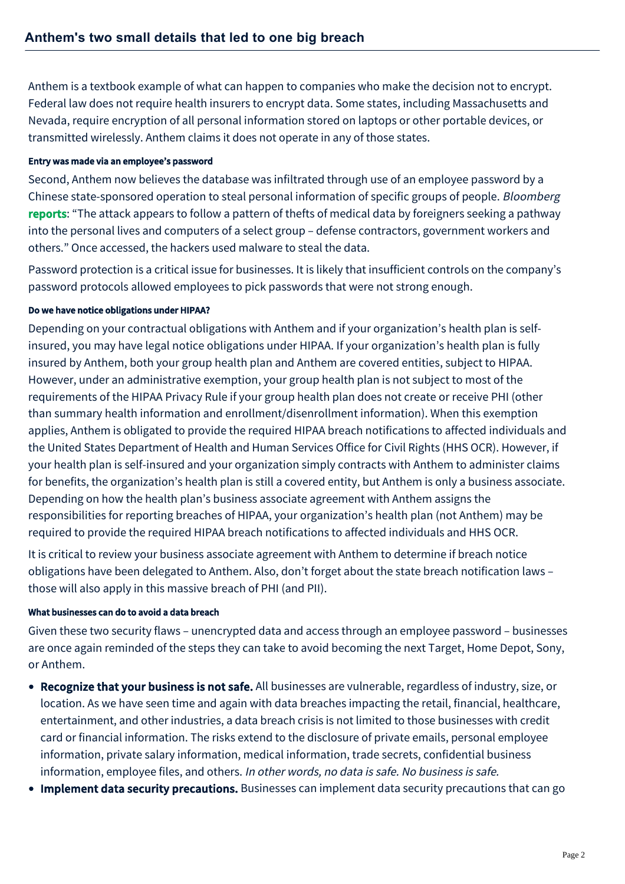Anthem is a textbook example of what can happen to companies who make the decision not to encrypt. Federal law does not require health insurers to encrypt data. Some states, including Massachusetts and Nevada, require encryption of all personal information stored on laptops or other portable devices, or transmitted wirelessly. Anthem claims it does not operate in any of those states.

### Entry was made via an employee's password

Second, Anthem now believes the database was infiltrated through use of an employee password by a Chinese state-sponsored operation to steal personal information of specific groups of people. Bloomberg [reports](http://www.bloomberg.com/news/articles/2015-02-05/signs-of-china-sponsored-hackers-seen-in-anthem-attack): "The attack appears to follow a pattern of thefts of medical data by foreigners seeking a pathway into the personal lives and computers of a select group – defense contractors, government workers and others." Once accessed, the hackers used malware to steal the data.

Password protection is a critical issue for businesses. It is likely that insufficient controls on the company's password protocols allowed employees to pick passwords that were not strong enough.

## Do we have notice obligations under HIPAA?

Depending on your contractual obligations with Anthem and if your organization's health plan is selfinsured, you may have legal notice obligations under HIPAA. If your organization's health plan is fully insured by Anthem, both your group health plan and Anthem are covered entities, subject to HIPAA. However, under an administrative exemption, your group health plan is not subject to most of the requirements of the HIPAA Privacy Rule if your group health plan does not create or receive PHI (other than summary health information and enrollment/disenrollment information). When this exemption applies, Anthem is obligated to provide the required HIPAA breach notifications to affected individuals and the United States Department of Health and Human Services Office for Civil Rights (HHS OCR). However, if your health plan is self-insured and your organization simply contracts with Anthem to administer claims for benefits, the organization's health plan is still a covered entity, but Anthem is only a business associate. Depending on how the health plan's business associate agreement with Anthem assigns the responsibilities for reporting breaches of HIPAA, your organization's health plan (not Anthem) may be required to provide the required HIPAA breach notifications to affected individuals and HHS OCR.

It is critical to review your business associate agreement with Anthem to determine if breach notice obligations have been delegated to Anthem. Also, don't forget about the state breach notification laws – those will also apply in this massive breach of PHI (and PII).

### What businesses can do to avoid a data breach

Given these two security flaws – unencrypted data and access through an employee password – businesses are once again reminded of the steps they can take to avoid becoming the next Target, Home Depot, Sony, or Anthem.

- Recognize that your business is not safe. All businesses are vulnerable, regardless of industry, size, or location. As we have seen time and again with data breaches impacting the retail, financial, healthcare, entertainment, and other industries, a data breach crisis is not limited to those businesses with credit card or financial information. The risks extend to the disclosure of private emails, personal employee information, private salary information, medical information, trade secrets, confidential business information, employee files, and others. In other words, no data is safe. No business is safe.
- Implement data security precautions. Businesses can implement data security precautions that can go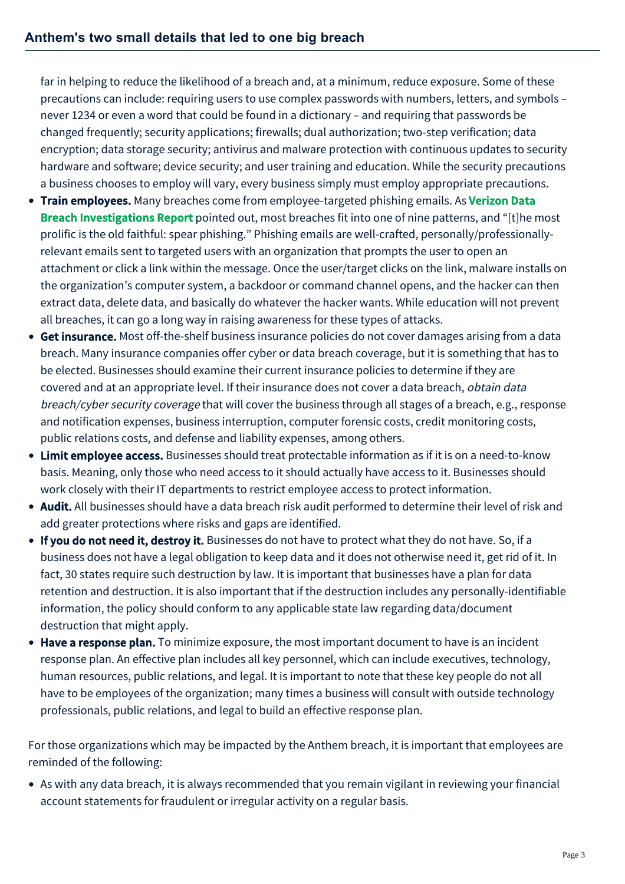far in helping to reduce the likelihood of a breach and, at a minimum, reduce exposure. Some of these precautions can include: requiring users to use complex passwords with numbers, letters, and symbols – never 1234 or even a word that could be found in a dictionary – and requiring that passwords be changed frequently; security applications; firewalls; dual authorization; two-step verification; data encryption; data storage security; antivirus and malware protection with continuous updates to security hardware and software; device security; and user training and education. While the security precautions a business chooses to employ will vary, every business simply must employ appropriate precautions.

- **Train employees.** Many breaches come from employee-targeted phishing emails. As Verizon Data Breach Investigations Report [pointed out, most breaches fit into one of nine patterns, and "\[t\]he m](http://www.verizonenterprise.com/DBIR/2014/)ost prolific is the old faithful: spear phishing." Phishing emails are well-crafted, personally/professionallyrelevant emails sent to targeted users with an organization that prompts the user to open an attachment or click a link within the message. Once the user/target clicks on the link, malware installs on the organization's computer system, a backdoor or command channel opens, and the hacker can then extract data, delete data, and basically do whatever the hacker wants. While education will not prevent all breaches, it can go a long way in raising awareness for these types of attacks.
- Get insurance. Most off-the-shelf business insurance policies do not cover damages arising from a data breach. Many insurance companies offer cyber or data breach coverage, but it is something that has to be elected. Businesses should examine their current insurance policies to determine if they are covered and at an appropriate level. If their insurance does not cover a data breach, obtain data breach/cyber security coverage that will cover the business through all stages of a breach, e.g., response and notification expenses, business interruption, computer forensic costs, credit monitoring costs, public relations costs, and defense and liability expenses, among others.
- Limit employee access. Businesses should treat protectable information as if it is on a need-to-know basis. Meaning, only those who need access to it should actually have access to it. Businesses should work closely with their IT departments to restrict employee access to protect information.
- Audit. All businesses should have a data breach risk audit performed to determine their level of risk and add greater protections where risks and gaps are identified.
- If you do not need it, destroy it. Businesses do not have to protect what they do not have. So, if a business does not have a legal obligation to keep data and it does not otherwise need it, get rid of it. In fact, 30 states require such destruction by law. It is important that businesses have a plan for data retention and destruction. It is also important that if the destruction includes any personally-identifiable information, the policy should conform to any applicable state law regarding data/document destruction that might apply.
- Have a response plan. To minimize exposure, the most important document to have is an incident response plan. An effective plan includes all key personnel, which can include executives, technology, human resources, public relations, and legal. It is important to note that these key people do not all have to be employees of the organization; many times a business will consult with outside technology professionals, public relations, and legal to build an effective response plan.

For those organizations which may be impacted by the Anthem breach, it is important that employees are reminded of the following:

As with any data breach, it is always recommended that you remain vigilant in reviewing your financial account statements for fraudulent or irregular activity on a regular basis.